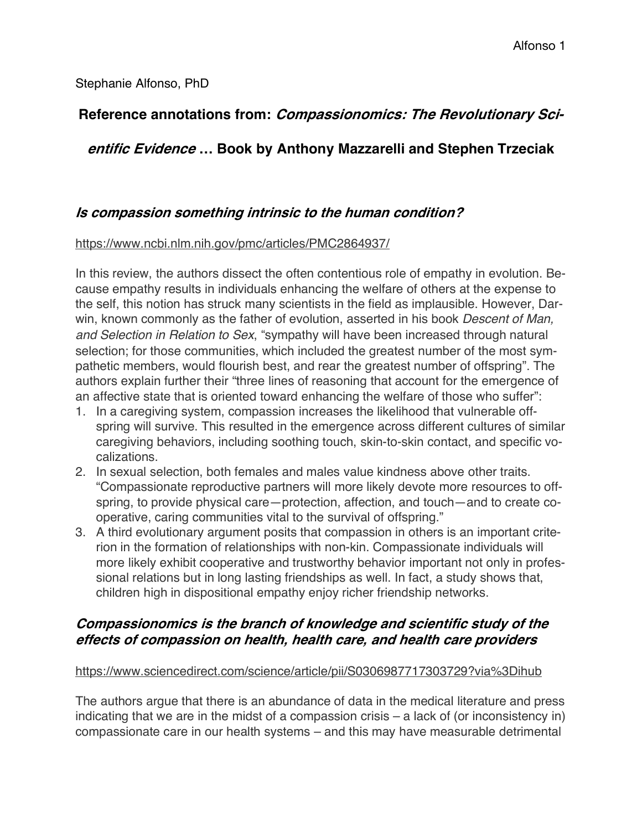Stephanie Alfonso, PhD

# **Reference annotations from: Compassionomics: The Revolutionary Sci-**

# **entific Evidence … Book by Anthony Mazzarelli and Stephen Trzeciak**

# **Is compassion something intrinsic to the human condition?**

### https://www.ncbi.nlm.nih.gov/pmc/articles/PMC2864937/

In this review, the authors dissect the often contentious role of empathy in evolution. Because empathy results in individuals enhancing the welfare of others at the expense to the self, this notion has struck many scientists in the field as implausible. However, Darwin, known commonly as the father of evolution, asserted in his book *Descent of Man, and Selection in Relation to Sex*, !sympathy will have been increased through natural selection; for those communities, which included the greatest number of the most sympathetic members, would flourish best, and rear the greatest number of offspring". The authors explain further their "three lines of reasoning that account for the emergence of an affective state that is oriented toward enhancing the welfare of those who suffer":

- 1. In a caregiving system, compassion increases the likelihood that vulnerable offspring will survive. This resulted in the emergence across different cultures of similar caregiving behaviors, including soothing touch, skin-to-skin contact, and specific vocalizations.
- 2. In sexual selection, both females and males value kindness above other traits. "Compassionate reproductive partners will more likely devote more resources to offspring, to provide physical care—protection, affection, and touch—and to create cooperative, caring communities vital to the survival of offspring."
- 3. A third evolutionary argument posits that compassion in others is an important criterion in the formation of relationships with non-kin. Compassionate individuals will more likely exhibit cooperative and trustworthy behavior important not only in professional relations but in long lasting friendships as well. In fact, a study shows that, children high in dispositional empathy enjoy richer friendship networks.

# **Compassionomics is the branch of knowledge and scientific study of the effects of compassion on health, health care, and health care providers**

## https://www.sciencedirect.com/science/article/pii/S0306987717303729?via%3Dihub

The authors argue that there is an abundance of data in the medical literature and press indicating that we are in the midst of a compassion crisis – a lack of (or inconsistency in) compassionate care in our health systems – and this may have measurable detrimental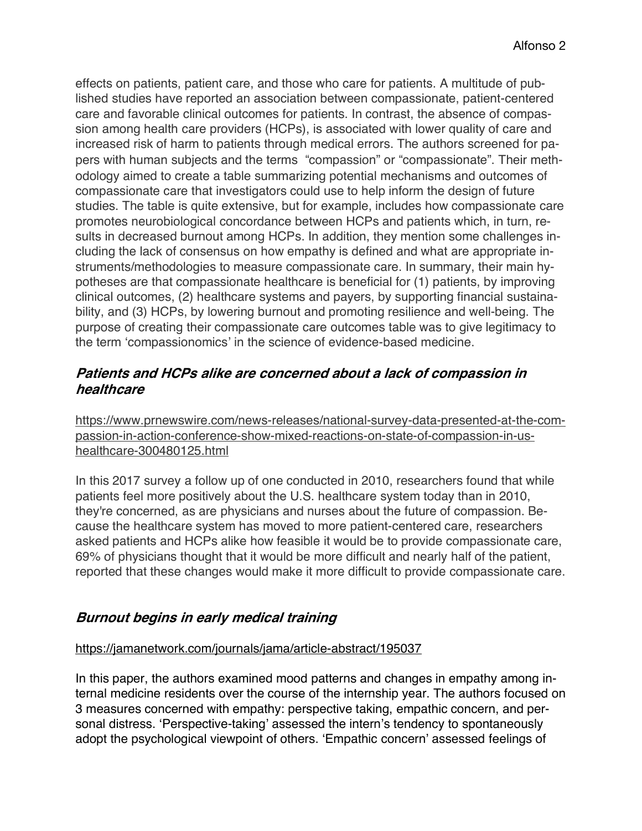effects on patients, patient care, and those who care for patients. A multitude of published studies have reported an association between compassionate, patient-centered care and favorable clinical outcomes for patients. In contrast, the absence of compassion among health care providers (HCPs), is associated with lower quality of care and increased risk of harm to patients through medical errors. The authors screened for papers with human subjects and the terms "compassion" or "compassionate". Their methodology aimed to create a table summarizing potential mechanisms and outcomes of compassionate care that investigators could use to help inform the design of future studies. The table is quite extensive, but for example, includes how compassionate care promotes neurobiological concordance between HCPs and patients which, in turn, results in decreased burnout among HCPs. In addition, they mention some challenges including the lack of consensus on how empathy is defined and what are appropriate instruments/methodologies to measure compassionate care. In summary, their main hypotheses are that compassionate healthcare is beneficial for (1) patients, by improving clinical outcomes, (2) healthcare systems and payers, by supporting financial sustainability, and (3) HCPs, by lowering burnout and promoting resilience and well-being. The purpose of creating their compassionate care outcomes table was to give legitimacy to the term 'compassionomics' in the science of evidence-based medicine.

## **Patients and HCPs alike are concerned about <sup>a</sup> lack of compassion in healthcare**

https://www.prnewswire.com/news-releases/national-survey-data-presented-at-the-compassion-in-action-conference-show-mixed-reactions-on-state-of-compassion-in-ushealthcare-300480125.html

In this 2017 survey a follow up of one conducted in 2010, researchers found that while patients feel more positively about the U.S. healthcare system today than in 2010, they're concerned, as are physicians and nurses about the future of compassion. Because the healthcare system has moved to more patient-centered care, researchers asked patients and HCPs alike how feasible it would be to provide compassionate care, 69% of physicians thought that it would be more difficult and nearly half of the patient, reported that these changes would make it more difficult to provide compassionate care.

# **Burnout begins in early medical training**

### https://jamanetwork.com/journals/jama/article-abstract/195037

In this paper, the authors examined mood patterns and changes in empathy among internal medicine residents over the course of the internship year. The authors focused on 3 measures concerned with empathy: perspective taking, empathic concern, and personal distress. 'Perspective-taking' assessed the intern's tendency to spontaneously adopt the psychological viewpoint of others. 'Empathic concern' assessed feelings of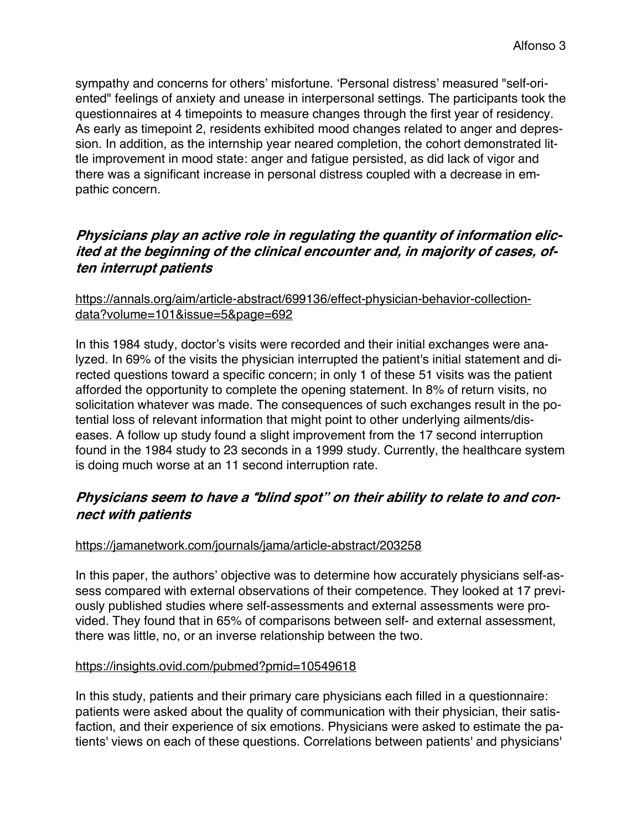sympathy and concerns for others' misfortune. 'Personal distress' measured "self-oriented" feelings of anxiety and unease in interpersonal settings. The participants took the questionnaires at 4 timepoints to measure changes through the first year of residency. As early as timepoint 2, residents exhibited mood changes related to anger and depression. In addition, as the internship year neared completion, the cohort demonstrated little improvement in mood state: anger and fatigue persisted, as did lack of vigor and there was a significant increase in personal distress coupled with a decrease in empathic concern.

# **Physicians play an active role in regulating the quantity of information elicited at the beginning of the clinical encounter and, in majority of cases, often interrupt patients**

## https://annals.org/aim/article-abstract/699136/effect-physician-behavior-collectiondata?volume=101&issue=5&page=692

In this 1984 study, doctor's visits were recorded and their initial exchanges were analyzed. In 69% of the visits the physician interrupted the patient's initial statement and directed questions toward a specific concern; in only 1 of these 51 visits was the patient afforded the opportunity to complete the opening statement. In 8% of return visits, no solicitation whatever was made. The consequences of such exchanges result in the potential loss of relevant information that might point to other underlying ailments/diseases. A follow up study found a slight improvement from the 17 second interruption found in the 1984 study to 23 seconds in a 1999 study. Currently, the healthcare system is doing much worse at an 11 second interruption rate.

# **Physicians seem to have <sup>a</sup>** !**blind spot" on their ability to relate to and connect with patients**

## https://jamanetwork.com/journals/jama/article-abstract/203258

In this paper, the authors' objective was to determine how accurately physicians self-assess compared with external observations of their competence. They looked at 17 previously published studies where self-assessments and external assessments were provided. They found that in 65% of comparisons between self- and external assessment, there was little, no, or an inverse relationship between the two.

### https://insights.ovid.com/pubmed?pmid=10549618

In this study, patients and their primary care physicians each filled in a questionnaire: patients were asked about the quality of communication with their physician, their satisfaction, and their experience of six emotions. Physicians were asked to estimate the patients' views on each of these questions. Correlations between patients' and physicians'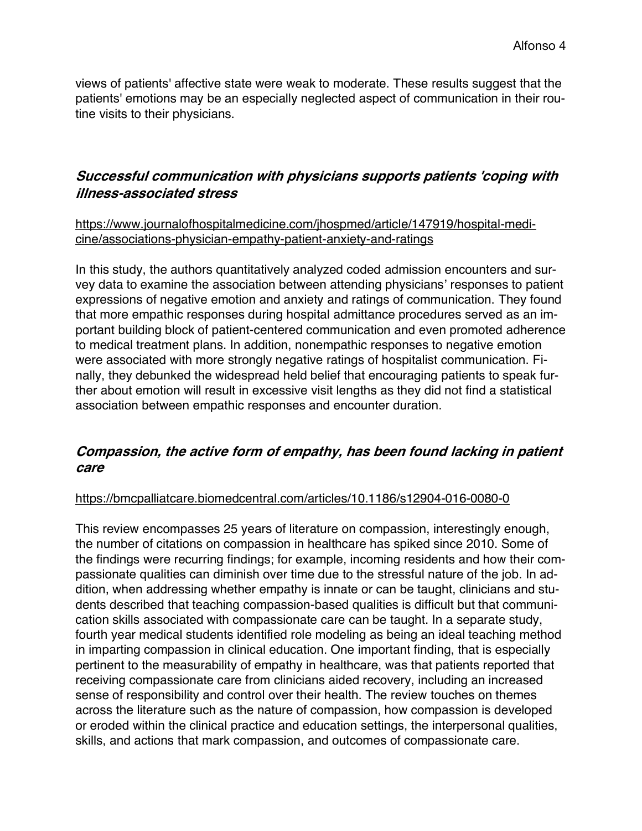views of patients' affective state were weak to moderate. These results suggest that the patients' emotions may be an especially neglected aspect of communication in their routine visits to their physicians.

# **Successful communication with physicians supports patients 'coping with illness-associated stress**

https://www.journalofhospitalmedicine.com/jhospmed/article/147919/hospital-medicine/associations-physician-empathy-patient-anxiety-and-ratings

In this study, the authors quantitatively analyzed coded admission encounters and survey data to examine the association between attending physicians' responses to patient expressions of negative emotion and anxiety and ratings of communication. They found that more empathic responses during hospital admittance procedures served as an important building block of patient-centered communication and even promoted adherence to medical treatment plans. In addition, nonempathic responses to negative emotion were associated with more strongly negative ratings of hospitalist communication. Finally, they debunked the widespread held belief that encouraging patients to speak further about emotion will result in excessive visit lengths as they did not find a statistical association between empathic responses and encounter duration.

# **Compassion, the active form of empathy, has been found lacking in patient care**

### https://bmcpalliatcare.biomedcentral.com/articles/10.1186/s12904-016-0080-0

This review encompasses 25 years of literature on compassion, interestingly enough, the number of citations on compassion in healthcare has spiked since 2010. Some of the findings were recurring findings; for example, incoming residents and how their compassionate qualities can diminish over time due to the stressful nature of the job. In addition, when addressing whether empathy is innate or can be taught, clinicians and students described that teaching compassion-based qualities is difficult but that communication skills associated with compassionate care can be taught. In a separate study, fourth year medical students identified role modeling as being an ideal teaching method in imparting compassion in clinical education. One important finding, that is especially pertinent to the measurability of empathy in healthcare, was that patients reported that receiving compassionate care from clinicians aided recovery, including an increased sense of responsibility and control over their health. The review touches on themes across the literature such as the nature of compassion, how compassion is developed or eroded within the clinical practice and education settings, the interpersonal qualities, skills, and actions that mark compassion, and outcomes of compassionate care.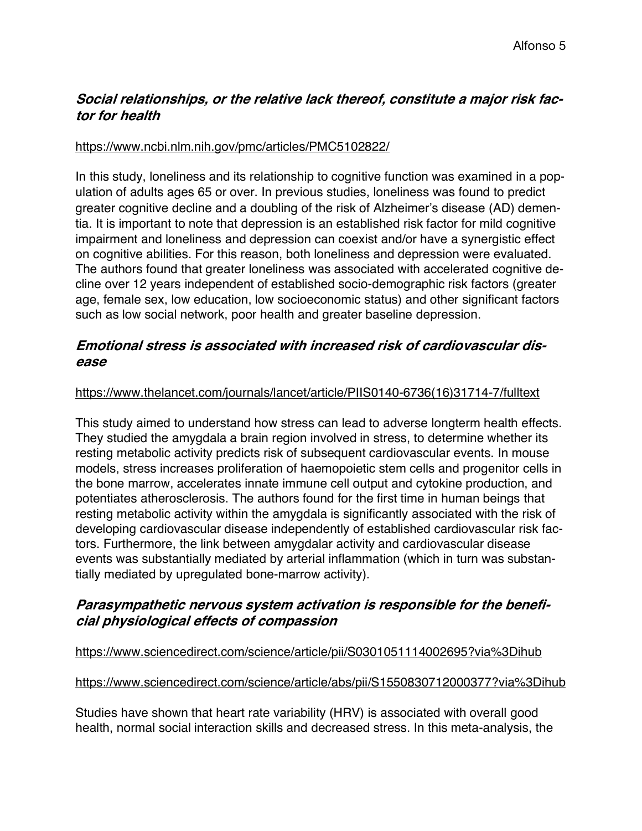# **Social relationships, or the relative lack thereof, constitute <sup>a</sup> major risk factor for health**

### https://www.ncbi.nlm.nih.gov/pmc/articles/PMC5102822/

In this study, loneliness and its relationship to cognitive function was examined in a population of adults ages 65 or over. In previous studies, loneliness was found to predict greater cognitive decline and a doubling of the risk of Alzheimer"s disease (AD) dementia. It is important to note that depression is an established risk factor for mild cognitive impairment and loneliness and depression can coexist and/or have a synergistic effect on cognitive abilities. For this reason, both loneliness and depression were evaluated. The authors found that greater loneliness was associated with accelerated cognitive decline over 12 years independent of established socio-demographic risk factors (greater age, female sex, low education, low socioeconomic status) and other significant factors such as low social network, poor health and greater baseline depression.

## **Emotional stress is associated with increased risk of cardiovascular disease**

### https://www.thelancet.com/journals/lancet/article/PIIS0140-6736(16)31714-7/fulltext

This study aimed to understand how stress can lead to adverse longterm health effects. They studied the amygdala a brain region involved in stress, to determine whether its resting metabolic activity predicts risk of subsequent cardiovascular events. In mouse models, stress increases proliferation of haemopoietic stem cells and progenitor cells in the bone marrow, accelerates innate immune cell output and cytokine production, and potentiates atherosclerosis. The authors found for the first time in human beings that resting metabolic activity within the amygdala is significantly associated with the risk of developing cardiovascular disease independently of established cardiovascular risk factors. Furthermore, the link between amygdalar activity and cardiovascular disease events was substantially mediated by arterial inflammation (which in turn was substantially mediated by upregulated bone-marrow activity).

# **Parasympathetic nervous system activation is responsible for the beneficial physiological effects of compassion**

## https://www.sciencedirect.com/science/article/pii/S0301051114002695?via%3Dihub

### https://www.sciencedirect.com/science/article/abs/pii/S1550830712000377?via%3Dihub

Studies have shown that heart rate variability (HRV) is associated with overall good health, normal social interaction skills and decreased stress. In this meta-analysis, the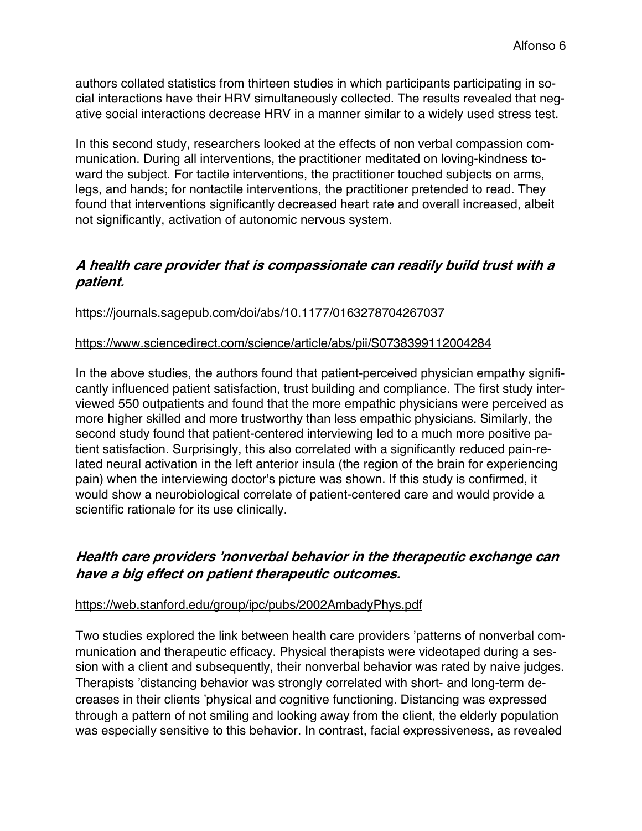authors collated statistics from thirteen studies in which participants participating in social interactions have their HRV simultaneously collected. The results revealed that negative social interactions decrease HRV in a manner similar to a widely used stress test.

In this second study, researchers looked at the effects of non verbal compassion communication. During all interventions, the practitioner meditated on loving-kindness toward the subject. For tactile interventions, the practitioner touched subjects on arms, legs, and hands; for nontactile interventions, the practitioner pretended to read. They found that interventions significantly decreased heart rate and overall increased, albeit not significantly, activation of autonomic nervous system.

## **A health care provider that is compassionate can readily build trust with <sup>a</sup> patient.**

https://journals.sagepub.com/doi/abs/10.1177/0163278704267037

### https://www.sciencedirect.com/science/article/abs/pii/S0738399112004284

In the above studies, the authors found that patient-perceived physician empathy significantly influenced patient satisfaction, trust building and compliance. The first study interviewed 550 outpatients and found that the more empathic physicians were perceived as more higher skilled and more trustworthy than less empathic physicians. Similarly, the second study found that patient-centered interviewing led to a much more positive patient satisfaction. Surprisingly, this also correlated with a significantly reduced pain-related neural activation in the left anterior insula (the region of the brain for experiencing pain) when the interviewing doctor's picture was shown. If this study is confirmed, it would show a neurobiological correlate of patient-centered care and would provide a scientific rationale for its use clinically.

# **Health care providers**"#**nonverbal behavior in the therapeutic exchange can have <sup>a</sup> big effect on patient therapeutic outcomes.**

### https://web.stanford.edu/group/ipc/pubs/2002AmbadyPhys.pdf

Two studies explored the link between health care providers "patterns of nonverbal communication and therapeutic efficacy. Physical therapists were videotaped during a session with a client and subsequently, their nonverbal behavior was rated by naive judges. Therapists "distancing behavior was strongly correlated with short- and long-term decreases in their clients "physical and cognitive functioning. Distancing was expressed through a pattern of not smiling and looking away from the client, the elderly population was especially sensitive to this behavior. In contrast, facial expressiveness, as revealed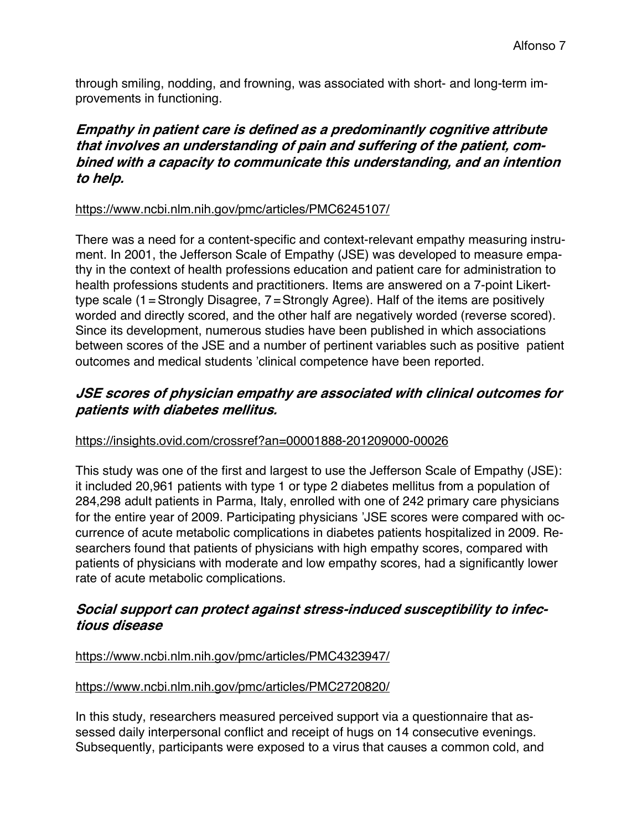through smiling, nodding, and frowning, was associated with short- and long-term improvements in functioning.

# **Empathy in patient care is defined as <sup>a</sup> predominantly cognitive attribute that involves an understanding of pain and suffering of the patient, combined with <sup>a</sup> capacity to communicate this understanding, and an intention to help.**

## https://www.ncbi.nlm.nih.gov/pmc/articles/PMC6245107/

There was a need for a content-specific and context-relevant empathy measuring instrument. In 2001, the Jefferson Scale of Empathy (JSE) was developed to measure empathy in the context of health professions education and patient care for administration to health professions students and practitioners. Items are answered on a 7-point Likerttype scale (1=Strongly Disagree, 7=Strongly Agree). Half of the items are positively worded and directly scored, and the other half are negatively worded (reverse scored). Since its development, numerous studies have been published in which associations between scores of the JSE and a number of pertinent variables such as positive patient outcomes and medical students "clinical competence have been reported.

# **JSE scores of physician empathy are associated with clinical outcomes for patients with diabetes mellitus.**

# https://insights.ovid.com/crossref?an=00001888-201209000-00026

This study was one of the first and largest to use the Jefferson Scale of Empathy (JSE): it included 20,961 patients with type 1 or type 2 diabetes mellitus from a population of 284,298 adult patients in Parma, Italy, enrolled with one of 242 primary care physicians for the entire year of 2009. Participating physicians "JSE scores were compared with occurrence of acute metabolic complications in diabetes patients hospitalized in 2009. Researchers found that patients of physicians with high empathy scores, compared with patients of physicians with moderate and low empathy scores, had a significantly lower rate of acute metabolic complications.

# **Social support can protect against stress-induced susceptibility to infectious disease**

## https://www.ncbi.nlm.nih.gov/pmc/articles/PMC4323947/

## https://www.ncbi.nlm.nih.gov/pmc/articles/PMC2720820/

In this study, researchers measured perceived support via a questionnaire that assessed daily interpersonal conflict and receipt of hugs on 14 consecutive evenings. Subsequently, participants were exposed to a virus that causes a common cold, and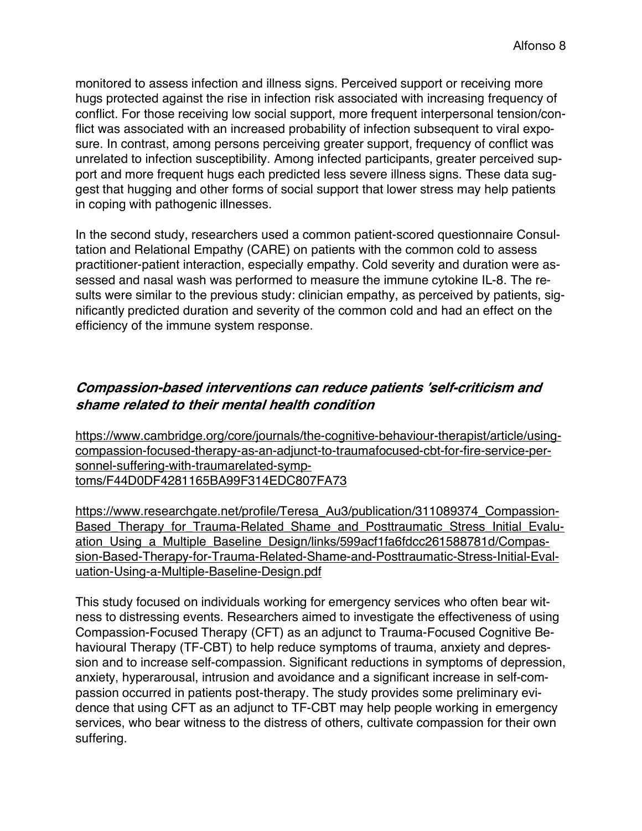monitored to assess infection and illness signs. Perceived support or receiving more hugs protected against the rise in infection risk associated with increasing frequency of conflict. For those receiving low social support, more frequent interpersonal tension/conflict was associated with an increased probability of infection subsequent to viral exposure. In contrast, among persons perceiving greater support, frequency of conflict was unrelated to infection susceptibility. Among infected participants, greater perceived support and more frequent hugs each predicted less severe illness signs. These data suggest that hugging and other forms of social support that lower stress may help patients in coping with pathogenic illnesses.

In the second study, researchers used a common patient-scored questionnaire Consultation and Relational Empathy (CARE) on patients with the common cold to assess practitioner-patient interaction, especially empathy. Cold severity and duration were assessed and nasal wash was performed to measure the immune cytokine IL-8. The results were similar to the previous study: clinician empathy, as perceived by patients, significantly predicted duration and severity of the common cold and had an effect on the efficiency of the immune system response.

# **Compassion-based interventions can reduce patients**"#**self-criticism and shame related to their mental health condition**

https://www.cambridge.org/core/journals/the-cognitive-behaviour-therapist/article/usingcompassion-focused-therapy-as-an-adjunct-to-traumafocused-cbt-for-fire-service-personnel-suffering-with-traumarelated-symptoms/F44D0DF4281165BA99F314EDC807FA73

https://www.researchgate.net/profile/Teresa\_Au3/publication/311089374\_Compassion-Based Therapy for Trauma-Related Shame and Posttraumatic Stress Initial Evaluation\_Using\_a\_Multiple\_Baseline\_Design/links/599acf1fa6fdcc261588781d/Compassion-Based-Therapy-for-Trauma-Related-Shame-and-Posttraumatic-Stress-Initial-Evaluation-Using-a-Multiple-Baseline-Design.pdf

This study focused on individuals working for emergency services who often bear witness to distressing events. Researchers aimed to investigate the effectiveness of using Compassion-Focused Therapy (CFT) as an adjunct to Trauma-Focused Cognitive Behavioural Therapy (TF-CBT) to help reduce symptoms of trauma, anxiety and depression and to increase self-compassion. Significant reductions in symptoms of depression, anxiety, hyperarousal, intrusion and avoidance and a significant increase in self-compassion occurred in patients post-therapy. The study provides some preliminary evidence that using CFT as an adjunct to TF-CBT may help people working in emergency services, who bear witness to the distress of others, cultivate compassion for their own suffering.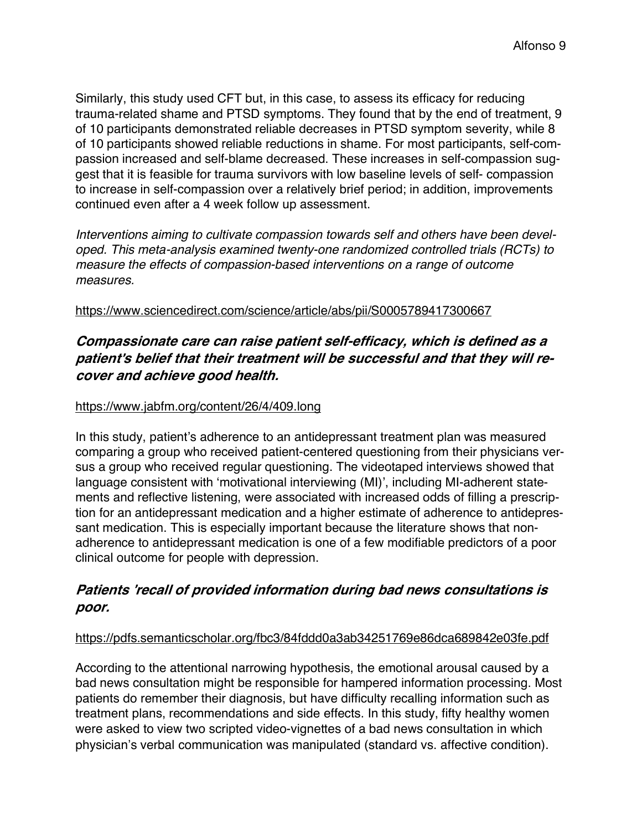Similarly, this study used CFT but, in this case, to assess its efficacy for reducing trauma-related shame and PTSD symptoms. They found that by the end of treatment, 9 of 10 participants demonstrated reliable decreases in PTSD symptom severity, while 8 of 10 participants showed reliable reductions in shame. For most participants, self-compassion increased and self-blame decreased. These increases in self-compassion suggest that it is feasible for trauma survivors with low baseline levels of self- compassion to increase in self-compassion over a relatively brief period; in addition, improvements continued even after a 4 week follow up assessment.

*Interventions aiming to cultivate compassion towards self and others have been developed. This meta-analysis examined twenty-one randomized controlled trials (RCTs) to measure the effects of compassion-based interventions on a range of outcome measures.*

### https://www.sciencedirect.com/science/article/abs/pii/S0005789417300667

# **Compassionate care can raise patient self-efficacy, which is defined as <sup>a</sup> patient**#**<sup>s</sup> belief that their treatment will be successful and that they will recover and achieve good health.**

### https://www.jabfm.org/content/26/4/409.long

In this study, patient's adherence to an antidepressant treatment plan was measured comparing a group who received patient-centered questioning from their physicians versus a group who received regular questioning. The videotaped interviews showed that language consistent with 'motivational interviewing (MI)', including MI-adherent statements and reflective listening, were associated with increased odds of filling a prescription for an antidepressant medication and a higher estimate of adherence to antidepressant medication. This is especially important because the literature shows that nonadherence to antidepressant medication is one of a few modifiable predictors of a poor clinical outcome for people with depression.

# **Patients**"#**recall of provided information during bad news consultations is poor.**

### https://pdfs.semanticscholar.org/fbc3/84fddd0a3ab34251769e86dca689842e03fe.pdf

According to the attentional narrowing hypothesis, the emotional arousal caused by a bad news consultation might be responsible for hampered information processing. Most patients do remember their diagnosis, but have difficulty recalling information such as treatment plans, recommendations and side effects. In this study, fifty healthy women were asked to view two scripted video-vignettes of a bad news consultation in which physician"s verbal communication was manipulated (standard vs. affective condition).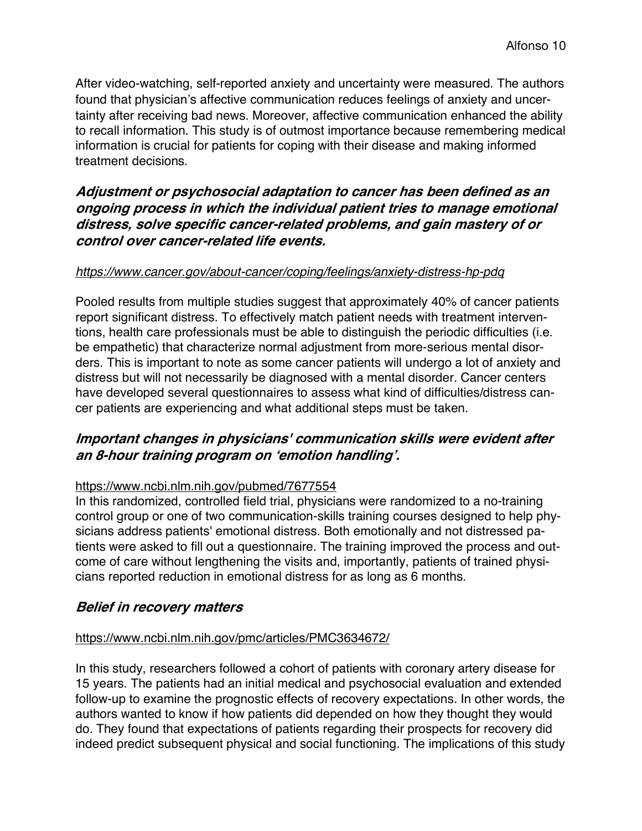After video-watching, self-reported anxiety and uncertainty were measured. The authors found that physician's affective communication reduces feelings of anxiety and uncertainty after receiving bad news. Moreover, affective communication enhanced the ability to recall information. This study is of outmost importance because remembering medical information is crucial for patients for coping with their disease and making informed treatment decisions.

# **Adjustment or psychosocial adaptation to cancer has been defined as an ongoing process in which the individual patient tries to manage emotional distress, solve specific cancer-related problems, and gain mastery of or control over cancer-related life events.**

## *https://www.cancer.gov/about-cancer/coping/feelings/anxiety-distress-hp-pdq*

Pooled results from multiple studies suggest that approximately 40% of cancer patients report significant distress. To effectively match patient needs with treatment interventions, health care professionals must be able to distinguish the periodic difficulties (i.e. be empathetic) that characterize normal adjustment from more-serious mental disorders. This is important to note as some cancer patients will undergo a lot of anxiety and distress but will not necessarily be diagnosed with a mental disorder. Cancer centers have developed several questionnaires to assess what kind of difficulties/distress cancer patients are experiencing and what additional steps must be taken.

## **Important changes in physicians' communication skills were evident after an 8-hour training program on 'emotion handling'.**

### https://www.ncbi.nlm.nih.gov/pubmed/7677554

In this randomized, controlled field trial, physicians were randomized to a no-training control group or one of two communication-skills training courses designed to help physicians address patients' emotional distress. Both emotionally and not distressed patients were asked to fill out a questionnaire. The training improved the process and outcome of care without lengthening the visits and, importantly, patients of trained physicians reported reduction in emotional distress for as long as 6 months.

## **Belief in recovery matters**

### https://www.ncbi.nlm.nih.gov/pmc/articles/PMC3634672/

In this study, researchers followed a cohort of patients with coronary artery disease for 15 years. The patients had an initial medical and psychosocial evaluation and extended follow-up to examine the prognostic effects of recovery expectations. In other words, the authors wanted to know if how patients did depended on how they thought they would do. They found that expectations of patients regarding their prospects for recovery did indeed predict subsequent physical and social functioning. The implications of this study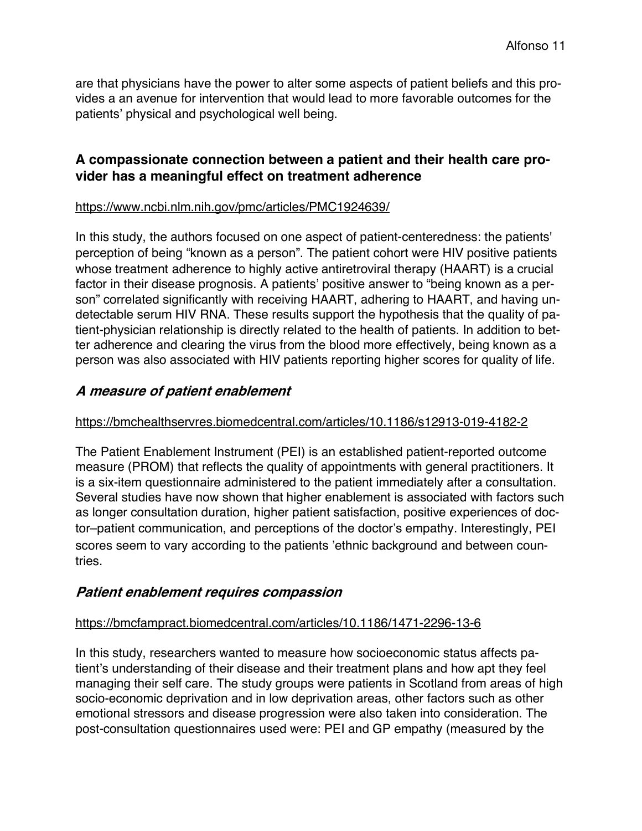are that physicians have the power to alter some aspects of patient beliefs and this provides a an avenue for intervention that would lead to more favorable outcomes for the patients' physical and psychological well being.

## **A compassionate connection between a patient and their health care provider has a meaningful effect on treatment adherence**

### https://www.ncbi.nlm.nih.gov/pmc/articles/PMC1924639/

In this study, the authors focused on one aspect of patient-centeredness: the patients' perception of being "known as a person". The patient cohort were HIV positive patients whose treatment adherence to highly active antiretroviral therapy (HAART) is a crucial factor in their disease prognosis. A patients' positive answer to "being known as a person" correlated significantly with receiving HAART, adhering to HAART, and having undetectable serum HIV RNA. These results support the hypothesis that the quality of patient-physician relationship is directly related to the health of patients. In addition to better adherence and clearing the virus from the blood more effectively, being known as a person was also associated with HIV patients reporting higher scores for quality of life.

## **A measure of patient enablement**

### https://bmchealthservres.biomedcentral.com/articles/10.1186/s12913-019-4182-2

The Patient Enablement Instrument (PEI) is an established patient-reported outcome measure (PROM) that reflects the quality of appointments with general practitioners. It is a six-item questionnaire administered to the patient immediately after a consultation. Several studies have now shown that higher enablement is associated with factors such as longer consultation duration, higher patient satisfaction, positive experiences of doctor–patient communication, and perceptions of the doctor's empathy. Interestingly, PEI scores seem to vary according to the patients "ethnic background and between countries.

## **Patient enablement requires compassion**

### https://bmcfampract.biomedcentral.com/articles/10.1186/1471-2296-13-6

In this study, researchers wanted to measure how socioeconomic status affects patient's understanding of their disease and their treatment plans and how apt they feel managing their self care. The study groups were patients in Scotland from areas of high socio-economic deprivation and in low deprivation areas, other factors such as other emotional stressors and disease progression were also taken into consideration. The post-consultation questionnaires used were: PEI and GP empathy (measured by the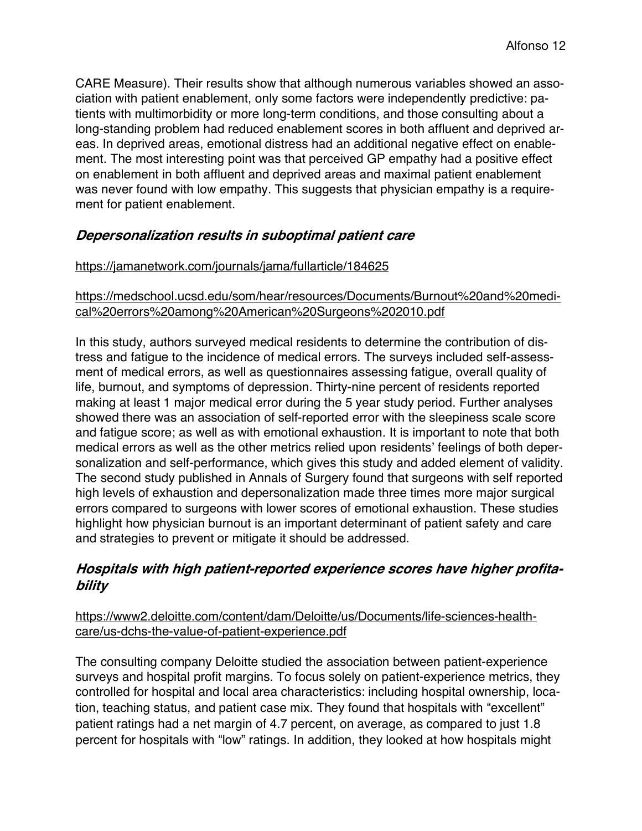CARE Measure). Their results show that although numerous variables showed an association with patient enablement, only some factors were independently predictive: patients with multimorbidity or more long-term conditions, and those consulting about a long-standing problem had reduced enablement scores in both affluent and deprived areas. In deprived areas, emotional distress had an additional negative effect on enablement. The most interesting point was that perceived GP empathy had a positive effect on enablement in both affluent and deprived areas and maximal patient enablement was never found with low empathy. This suggests that physician empathy is a requirement for patient enablement.

# **Depersonalization results in suboptimal patient care**

## https://jamanetwork.com/journals/jama/fullarticle/184625

## https://medschool.ucsd.edu/som/hear/resources/Documents/Burnout%20and%20medical%20errors%20among%20American%20Surgeons%202010.pdf

In this study, authors surveyed medical residents to determine the contribution of distress and fatigue to the incidence of medical errors. The surveys included self-assessment of medical errors, as well as questionnaires assessing fatigue, overall quality of life, burnout, and symptoms of depression. Thirty-nine percent of residents reported making at least 1 major medical error during the 5 year study period. Further analyses showed there was an association of self-reported error with the sleepiness scale score and fatigue score; as well as with emotional exhaustion. It is important to note that both medical errors as well as the other metrics relied upon residents' feelings of both depersonalization and self-performance, which gives this study and added element of validity. The second study published in Annals of Surgery found that surgeons with self reported high levels of exhaustion and depersonalization made three times more major surgical errors compared to surgeons with lower scores of emotional exhaustion. These studies highlight how physician burnout is an important determinant of patient safety and care and strategies to prevent or mitigate it should be addressed.

# **Hospitals with high patient-reported experience scores have higher profitability**

## https://www2.deloitte.com/content/dam/Deloitte/us/Documents/life-sciences-healthcare/us-dchs-the-value-of-patient-experience.pdf

The consulting company Deloitte studied the association between patient-experience surveys and hospital profit margins. To focus solely on patient-experience metrics, they controlled for hospital and local area characteristics: including hospital ownership, location, teaching status, and patient case mix. They found that hospitals with "excellent" patient ratings had a net margin of 4.7 percent, on average, as compared to just 1.8 percent for hospitals with "low" ratings. In addition, they looked at how hospitals might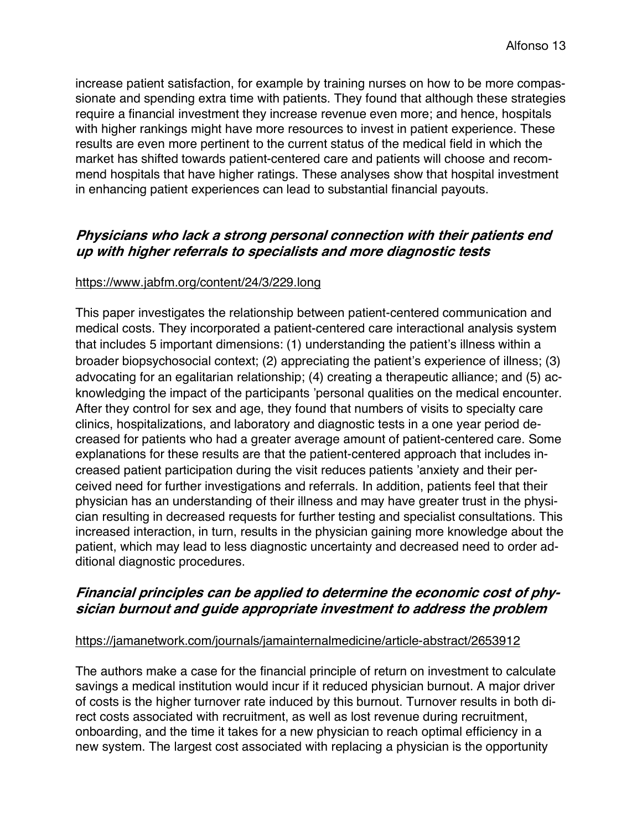increase patient satisfaction, for example by training nurses on how to be more compassionate and spending extra time with patients. They found that although these strategies require a financial investment they increase revenue even more; and hence, hospitals with higher rankings might have more resources to invest in patient experience. These results are even more pertinent to the current status of the medical field in which the market has shifted towards patient-centered care and patients will choose and recommend hospitals that have higher ratings. These analyses show that hospital investment in enhancing patient experiences can lead to substantial financial payouts.

## **Physicians who lack <sup>a</sup> strong personal connection with their patients end up with higher referrals to specialists and more diagnostic tests**

### https://www.jabfm.org/content/24/3/229.long

This paper investigates the relationship between patient-centered communication and medical costs. They incorporated a patient-centered care interactional analysis system that includes 5 important dimensions: (1) understanding the patient's illness within a broader biopsychosocial context; (2) appreciating the patient"s experience of illness; (3) advocating for an egalitarian relationship; (4) creating a therapeutic alliance; and (5) acknowledging the impact of the participants "personal qualities on the medical encounter. After they control for sex and age, they found that numbers of visits to specialty care clinics, hospitalizations, and laboratory and diagnostic tests in a one year period decreased for patients who had a greater average amount of patient-centered care. Some explanations for these results are that the patient-centered approach that includes increased patient participation during the visit reduces patients "anxiety and their perceived need for further investigations and referrals. In addition, patients feel that their physician has an understanding of their illness and may have greater trust in the physician resulting in decreased requests for further testing and specialist consultations. This increased interaction, in turn, results in the physician gaining more knowledge about the patient, which may lead to less diagnostic uncertainty and decreased need to order additional diagnostic procedures.

# **Financial principles can be applied to determine the economic cost of physician burnout and guide appropriate investment to address the problem**

### https://jamanetwork.com/journals/jamainternalmedicine/article-abstract/2653912

The authors make a case for the financial principle of return on investment to calculate savings a medical institution would incur if it reduced physician burnout. A major driver of costs is the higher turnover rate induced by this burnout. Turnover results in both direct costs associated with recruitment, as well as lost revenue during recruitment, onboarding, and the time it takes for a new physician to reach optimal efficiency in a new system. The largest cost associated with replacing a physician is the opportunity